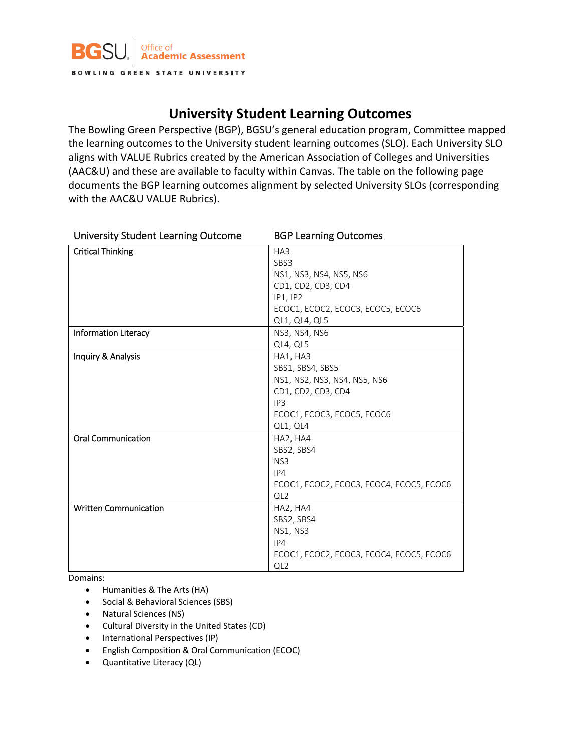

## **University Student Learning Outcomes**

The Bowling Green Perspective (BGP), BGSU's general education program, Committee mapped the learning outcomes to the University student learning outcomes (SLO). Each University SLO aligns with VALUE Rubrics created by the American Association of Colleges and Universities (AAC&U) and these are available to faculty within Canvas. The table on the following page documents the BGP learning outcomes alignment by selected University SLOs (corresponding with the AAC&U VALUE Rubrics).

| <b>University Student Learning Outcome</b> | <b>BGP Learning Outcomes</b>             |  |  |
|--------------------------------------------|------------------------------------------|--|--|
| <b>Critical Thinking</b>                   | HA3                                      |  |  |
|                                            | SBS3                                     |  |  |
|                                            | NS1, NS3, NS4, NS5, NS6                  |  |  |
|                                            | CD1, CD2, CD3, CD4                       |  |  |
|                                            | IP1, IP2                                 |  |  |
|                                            | ECOC1, ECOC2, ECOC3, ECOC5, ECOC6        |  |  |
|                                            | QL1, QL4, QL5                            |  |  |
| <b>Information Literacy</b>                | NS3, NS4, NS6                            |  |  |
|                                            | QL4, QL5                                 |  |  |
| Inquiry & Analysis                         | HA1, HA3                                 |  |  |
|                                            | SBS1, SBS4, SBS5                         |  |  |
|                                            | NS1, NS2, NS3, NS4, NS5, NS6             |  |  |
|                                            | CD1, CD2, CD3, CD4                       |  |  |
|                                            | IP <sub>3</sub>                          |  |  |
|                                            | ECOC1, ECOC3, ECOC5, ECOC6               |  |  |
|                                            | QL1, QL4                                 |  |  |
| <b>Oral Communication</b>                  | HA2, HA4                                 |  |  |
|                                            | SBS2, SBS4                               |  |  |
|                                            | NS <sub>3</sub>                          |  |  |
|                                            | IP4                                      |  |  |
|                                            | ECOC1, ECOC2, ECOC3, ECOC4, ECOC5, ECOC6 |  |  |
|                                            | QL <sub>2</sub>                          |  |  |
| <b>Written Communication</b>               | HA2, HA4                                 |  |  |
|                                            | SBS2, SBS4                               |  |  |
|                                            | NS1, NS3                                 |  |  |
|                                            | IP4                                      |  |  |
|                                            | ECOC1, ECOC2, ECOC3, ECOC4, ECOC5, ECOC6 |  |  |
|                                            | QL <sub>2</sub>                          |  |  |

Domains:

- Humanities & The Arts (HA)
- Social & Behavioral Sciences (SBS)
- Natural Sciences (NS)
- Cultural Diversity in the United States (CD)
- International Perspectives (IP)
- English Composition & Oral Communication (ECOC)
- Quantitative Literacy (QL)